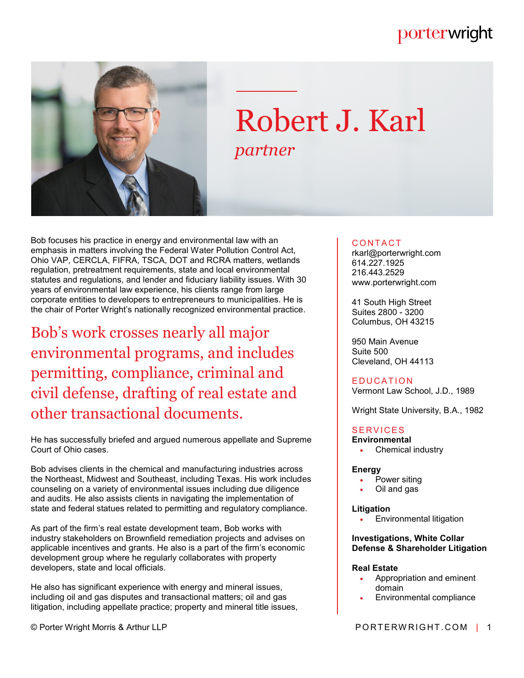# porterwright



# Robert J. Karl *partner*

Bob focuses his practice in energy and environmental law with an emphasis in matters involving the Federal Water Pollution Control Act, Ohio VAP, CERCLA, FIFRA, TSCA, DOT and RCRA matters, wetlands regulation, pretreatment requirements, state and local environmental statutes and regulations, and lender and fiduciary liability issues. With 30 years of environmental law experience, his clients range from large corporate entities to developers to entrepreneurs to municipalities. He is the chair of Porter Wright's nationally recognized environmental practice.

Bob's work crosses nearly all major environmental programs, and includes permitting, compliance, criminal and civil defense, drafting of real estate and other transactional documents.

He has successfully briefed and argued numerous appellate and Supreme Court of Ohio cases.

Bob advises clients in the chemical and manufacturing industries across the Northeast, Midwest and Southeast, including Texas. His work includes counseling on a variety of environmental issues including due diligence and audits. He also assists clients in navigating the implementation of state and federal statues related to permitting and regulatory compliance.

As part of the firm's real estate development team, Bob works with industry stakeholders on Brownfield remediation projects and advises on applicable incentives and grants. He also is a part of the firm's economic development group where he regularly collaborates with property developers, state and local officials.

He also has significant experience with energy and mineral issues, including oil and gas disputes and transactional matters; oil and gas litigation, including appellate practice; property and mineral title issues,

# **CONTACT**

rkarl@porterwright.com 614.227.1925 216.443.2529 www.porterwright.com

41 South High Street Suites 2800 - 3200 Columbus, OH 43215

950 Main Avenue Suite 500 Cleveland, OH 44113

# **EDUCATION**

Vermont Law School, J.D., 1989

Wright State University, B.A., 1982

# **SERVICES**

- **Environmental**
	- Chemical industry

#### **Energy**

- Power siting
- Oil and gas

#### **Litigation**

Environmental litigation

#### **Investigations, White Collar Defense & Shareholder Litigation**

#### **Real Estate**

- Appropriation and eminent domain
- Environmental compliance